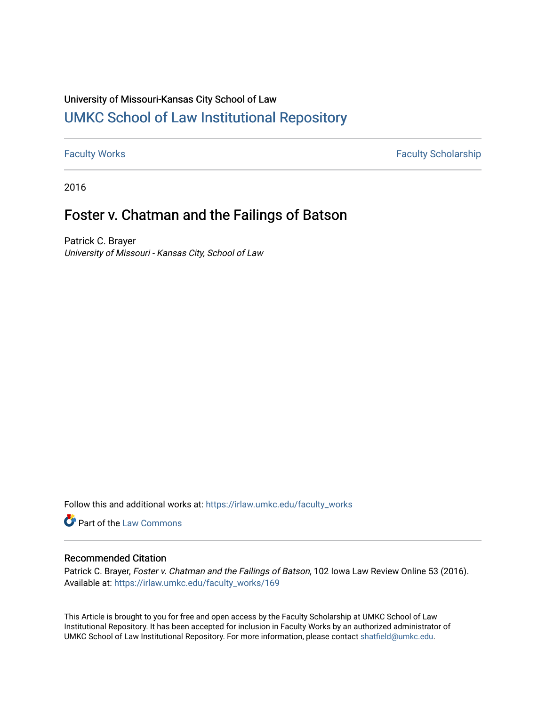# University of Missouri-Kansas City School of Law [UMKC School of Law Institutional Repository](https://irlaw.umkc.edu/)

[Faculty Works](https://irlaw.umkc.edu/faculty_works) **Faculty Scholarship** 

2016

# Foster v. Chatman and the Failings of Batson

Patrick C. Brayer University of Missouri - Kansas City, School of Law

Follow this and additional works at: [https://irlaw.umkc.edu/faculty\\_works](https://irlaw.umkc.edu/faculty_works?utm_source=irlaw.umkc.edu%2Ffaculty_works%2F169&utm_medium=PDF&utm_campaign=PDFCoverPages) 

Part of the [Law Commons](http://network.bepress.com/hgg/discipline/578?utm_source=irlaw.umkc.edu%2Ffaculty_works%2F169&utm_medium=PDF&utm_campaign=PDFCoverPages)

### Recommended Citation

Patrick C. Brayer, Foster v. Chatman and the Failings of Batson, 102 Iowa Law Review Online 53 (2016). Available at: [https://irlaw.umkc.edu/faculty\\_works/169](https://irlaw.umkc.edu/faculty_works/169?utm_source=irlaw.umkc.edu%2Ffaculty_works%2F169&utm_medium=PDF&utm_campaign=PDFCoverPages) 

This Article is brought to you for free and open access by the Faculty Scholarship at UMKC School of Law Institutional Repository. It has been accepted for inclusion in Faculty Works by an authorized administrator of UMKC School of Law Institutional Repository. For more information, please contact [shatfield@umkc.edu](mailto:shatfield@umkc.edu).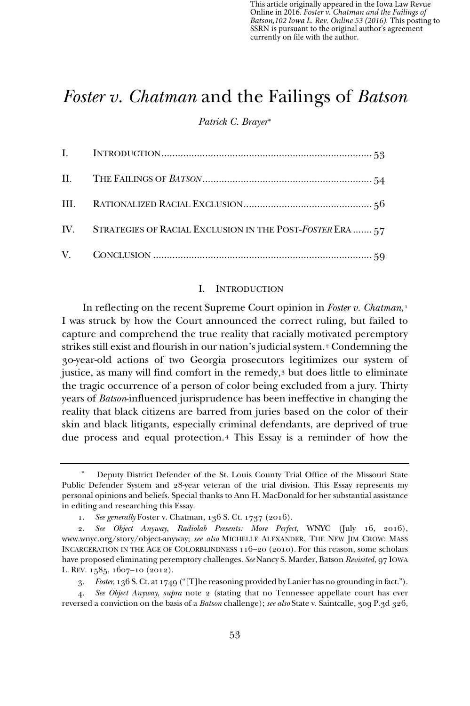This article originally appeared in the Iowa Law Revue Online in 2016. *Foster v. Chatman and the Failings of Batson,102 Iowa L. Rev. Online 53 (2016).* This posting to SSRN is pursuant to the original author's agreement currently on file with the author.

### *Foster v. Chatman* and the Failings of *Batson*

*Patrick C. Brayer*<sup>∗</sup>

| IV. STRATEGIES OF RACIAL EXCLUSION IN THE POST-FOSTER ERA  57 |
|---------------------------------------------------------------|
|                                                               |

#### I. INTRODUCTION

In reflecting on the recent Supreme Court opinion in *Foster v. Chatman*,<sup>1</sup> I was struck by how the Court announced the correct ruling, but failed to capture and comprehend the true reality that racially motivated peremptory strikes still exist and flourish in our nation's judicial system.2 Condemning the 30-year-old actions of two Georgia prosecutors legitimizes our system of justice, as many will find comfort in the remedy,3 but does little to eliminate the tragic occurrence of a person of color being excluded from a jury. Thirty years of *Batson*-influenced jurisprudence has been ineffective in changing the reality that black citizens are barred from juries based on the color of their skin and black litigants, especially criminal defendants, are deprived of true due process and equal protection.4 This Essay is a reminder of how the

Deputy District Defender of the St. Louis County Trial Office of the Missouri State Public Defender System and 28-year veteran of the trial division. This Essay represents my personal opinions and beliefs. Special thanks to Ann H. MacDonald for her substantial assistance in editing and researching this Essay.

<sup>1.</sup> *See generally* Foster v. Chatman, 136 S. Ct. 1737 (2016).

<sup>2.</sup> *See Object Anyway*, *Radiolab Presents: More Perfect*, WNYC (July 16, 2016), www.wnyc.org/story/object-anyway; *see also* MICHELLE ALEXANDER, THE NEW JIM CROW: MASS INCARCERATION IN THE AGE OF COLORBLINDNESS 116–20 (2010). For this reason, some scholars have proposed eliminating peremptory challenges. *See* Nancy S. Marder, Batson *Revisited,* 97 IOWA L. REV. 1585, 1607–10 (2012).

<sup>3.</sup> *Foster*, 136 S. Ct. at 1749 ("[T]he reasoning provided by Lanier has no grounding in fact.").

<sup>4.</sup> *See Object Anyway*, *supra* note 2 (stating that no Tennessee appellate court has ever reversed a conviction on the basis of a *Batson* challenge); *see also* State v. Saintcalle, 309 P.3d 326,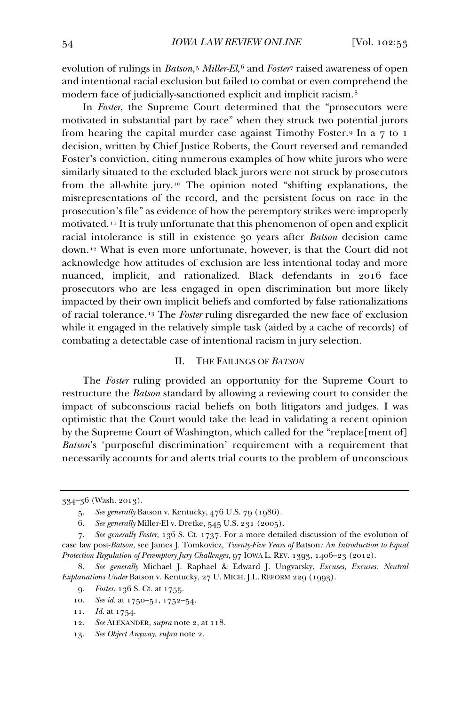evolution of rulings in *Batson,*<sup>5</sup> *Miller-El,*<sup>6</sup> and *Foster*<sup>7</sup> raised awareness of open and intentional racial exclusion but failed to combat or even comprehend the modern face of judicially-sanctioned explicit and implicit racism.8

In *Foster*, the Supreme Court determined that the "prosecutors were motivated in substantial part by race" when they struck two potential jurors from hearing the capital murder case against Timothy Foster.9 In a 7 to 1 decision, written by Chief Justice Roberts, the Court reversed and remanded Foster's conviction, citing numerous examples of how white jurors who were similarly situated to the excluded black jurors were not struck by prosecutors from the all-white jury.10 The opinion noted "shifting explanations, the misrepresentations of the record, and the persistent focus on race in the prosecution's file" as evidence of how the peremptory strikes were improperly motivated.11 It is truly unfortunate that this phenomenon of open and explicit racial intolerance is still in existence 30 years after *Batson* decision came down.12 What is even more unfortunate, however, is that the Court did not acknowledge how attitudes of exclusion are less intentional today and more nuanced, implicit, and rationalized. Black defendants in 2016 face prosecutors who are less engaged in open discrimination but more likely impacted by their own implicit beliefs and comforted by false rationalizations of racial tolerance.13 The *Foster* ruling disregarded the new face of exclusion while it engaged in the relatively simple task (aided by a cache of records) of combating a detectable case of intentional racism in jury selection.

#### II. THE FAILINGS OF *BATSON*

The *Foster* ruling provided an opportunity for the Supreme Court to restructure the *Batson* standard by allowing a reviewing court to consider the impact of subconscious racial beliefs on both litigators and judges. I was optimistic that the Court would take the lead in validating a recent opinion by the Supreme Court of Washington, which called for the "replace[ment of] *Batson*'s 'purposeful discrimination' requirement with a requirement that necessarily accounts for and alerts trial courts to the problem of unconscious

<sup>334–36 (</sup>Wash. 2013).

<sup>5.</sup> *See generally* Batson v. Kentucky, 476 U.S. 79 (1986).

<sup>6.</sup> *See generally* Miller-El v. Dretke, 545 U.S. 231 (2005).

<sup>7.</sup> *See generally Foster*, 136 S. Ct. 1737. For a more detailed discussion of the evolution of case law post-*Batson*, see James J. Tomkovicz*, Twenty-Five Years of* Batson*: An Introduction to Equal Protection Regulation of Peremptory Jury Challenges*, 97 IOWA L. REV. 1393, 1406–23 (2012).

<sup>8.</sup> *See generally* Michael J. Raphael & Edward J. Ungvarsky, *Excuses, Excuses: Neutral Explanations Under* Batson v. Kentucky, 27 U. MICH. J.L. REFORM 229 (1993).

<sup>9.</sup> *Foster*, 136 S. Ct. at 1755.

<sup>10.</sup> *See id.* at 1750–51, 1752–54.

<sup>11.</sup> *Id.* at 1754.

<sup>12.</sup> *See* ALEXANDER, *supra* note 2, at 118.

<sup>13.</sup> *See Object Anyway*, *supra* note 2.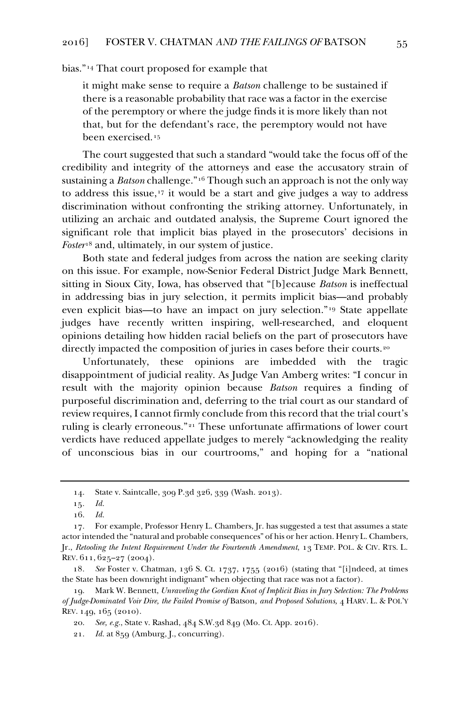bias."14 That court proposed for example that

it might make sense to require a *Batson* challenge to be sustained if there is a reasonable probability that race was a factor in the exercise of the peremptory or where the judge finds it is more likely than not that, but for the defendant's race, the peremptory would not have been exercised.<sup>15</sup>

The court suggested that such a standard "would take the focus off of the credibility and integrity of the attorneys and ease the accusatory strain of sustaining a *Batson* challenge."16 Though such an approach is not the only way to address this issue,17 it would be a start and give judges a way to address discrimination without confronting the striking attorney. Unfortunately, in utilizing an archaic and outdated analysis, the Supreme Court ignored the significant role that implicit bias played in the prosecutors' decisions in *Foster*<sup>18</sup> and, ultimately, in our system of justice.

Both state and federal judges from across the nation are seeking clarity on this issue. For example, now-Senior Federal District Judge Mark Bennett, sitting in Sioux City, Iowa, has observed that "[b]ecause *Batson* is ineffectual in addressing bias in jury selection, it permits implicit bias—and probably even explicit bias—to have an impact on jury selection."19 State appellate judges have recently written inspiring, well-researched, and eloquent opinions detailing how hidden racial beliefs on the part of prosecutors have directly impacted the composition of juries in cases before their courts.<sup>20</sup>

Unfortunately, these opinions are imbedded with the tragic disappointment of judicial reality. As Judge Van Amberg writes: "I concur in result with the majority opinion because *Batson* requires a finding of purposeful discrimination and, deferring to the trial court as our standard of review requires, I cannot firmly conclude from this record that the trial court's ruling is clearly erroneous."21 These unfortunate affirmations of lower court verdicts have reduced appellate judges to merely "acknowledging the reality of unconscious bias in our courtrooms," and hoping for a "national

<sup>14.</sup> State v. Saintcalle, 309 P.3d 326, 339 (Wash. 2013).

<sup>15</sup>*. Id.*

<sup>16.</sup> *Id.*

<sup>17.</sup> For example, Professor Henry L. Chambers, Jr. has suggested a test that assumes a state actor intended the "natural and probable consequences" of his or her action. Henry L. Chambers, Jr., *Retooling the Intent Requirement Under the Fourteenth Amendment*, 13 TEMP. POL. & CIV. RTS. L. REV. 611, 625–27 (2004).

<sup>18</sup>*. See* Foster v. Chatman, 136 S. Ct. 1737, 1755 (2016) (stating that "[i]ndeed, at times the State has been downright indignant" when objecting that race was not a factor).

<sup>19.</sup> Mark W. Bennett, *Unraveling the Gordian Knot of Implicit Bias in Jury Selection: The Problems of Judge-Dominated Voir Dire, the Failed Promise of* Batson*, and Proposed Solutions,* 4 HARV. L. & POL'Y REV. 149, 165 (2010).

<sup>20.</sup> *See, e.g.*, State v. Rashad, 484 S.W.3d 849 (Mo. Ct. App. 2016).

<sup>21.</sup> *Id.* at 859 (Amburg, J., concurring).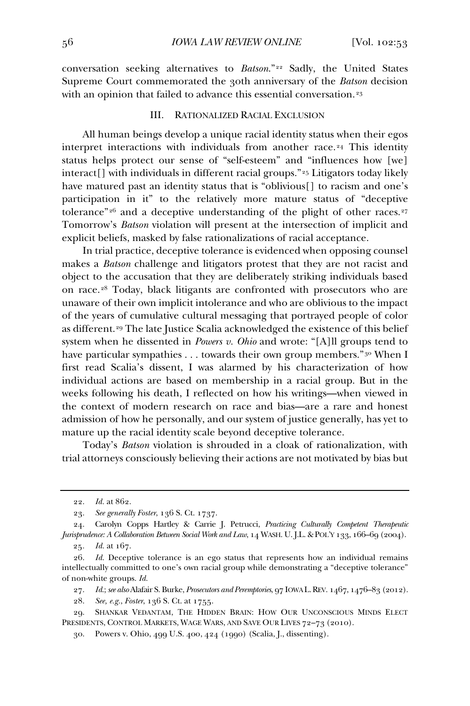conversation seeking alternatives to *Batson*."22 Sadly, the United States Supreme Court commemorated the 30th anniversary of the *Batson* decision with an opinion that failed to advance this essential conversation.<sup>23</sup>

#### III. RATIONALIZED RACIAL EXCLUSION

All human beings develop a unique racial identity status when their egos interpret interactions with individuals from another race.<sup>24</sup> This identity status helps protect our sense of "self-esteem" and "influences how [we] interact[] with individuals in different racial groups."25 Litigators today likely have matured past an identity status that is "oblivious[] to racism and one's participation in it" to the relatively more mature status of "deceptive tolerance"<sup>26</sup> and a deceptive understanding of the plight of other races.<sup>27</sup> Tomorrow's *Batson* violation will present at the intersection of implicit and explicit beliefs, masked by false rationalizations of racial acceptance.

In trial practice, deceptive tolerance is evidenced when opposing counsel makes a *Batson* challenge and litigators protest that they are not racist and object to the accusation that they are deliberately striking individuals based on race.28 Today, black litigants are confronted with prosecutors who are unaware of their own implicit intolerance and who are oblivious to the impact of the years of cumulative cultural messaging that portrayed people of color as different.<sup>29</sup> The late Justice Scalia acknowledged the existence of this belief system when he dissented in *Powers v. Ohio* and wrote: "[A]ll groups tend to have particular sympathies . . . towards their own group members."<sup>30</sup> When I first read Scalia's dissent, I was alarmed by his characterization of how individual actions are based on membership in a racial group. But in the weeks following his death, I reflected on how his writings—when viewed in the context of modern research on race and bias—are a rare and honest admission of how he personally, and our system of justice generally, has yet to mature up the racial identity scale beyond deceptive tolerance.

Today's *Batson* violation is shrouded in a cloak of rationalization, with trial attorneys consciously believing their actions are not motivated by bias but

<sup>22.</sup> *Id.* at 862.

<sup>23.</sup> *See generally Foster*, 136 S. Ct. 1737.

<sup>24.</sup> Carolyn Copps Hartley & Carrie J. Petrucci, *Practicing Culturally Competent Therapeutic Jurisprudence: A Collaboration Between Social Work and Law*, 14 WASH. U. J.L. & POL'Y 133, 166–69 (2004).

<sup>25</sup>*. Id.* at 167.

<sup>26.</sup> *Id.* Deceptive tolerance is an ego status that represents how an individual remains intellectually committed to one's own racial group while demonstrating a "deceptive tolerance" of non-white groups. *Id.*

<sup>27.</sup> *Id.*; *see also* Alafair S. Burke, *Prosecutors and Peremptories*, 97 IOWA L.REV. 1467, 1476–83 (2012).

<sup>28.</sup> *See, e.g.*, *Foster*, 136 S. Ct. at 1755.

<sup>29.</sup> SHANKAR VEDANTAM, THE HIDDEN BRAIN: HOW OUR UNCONSCIOUS MINDS ELECT PRESIDENTS, CONTROL MARKETS, WAGE WARS, AND SAVE OUR LIVES 72–73 (2010).

<sup>30.</sup> Powers v. Ohio, 499 U.S. 400, 424 (1990) (Scalia, J., dissenting).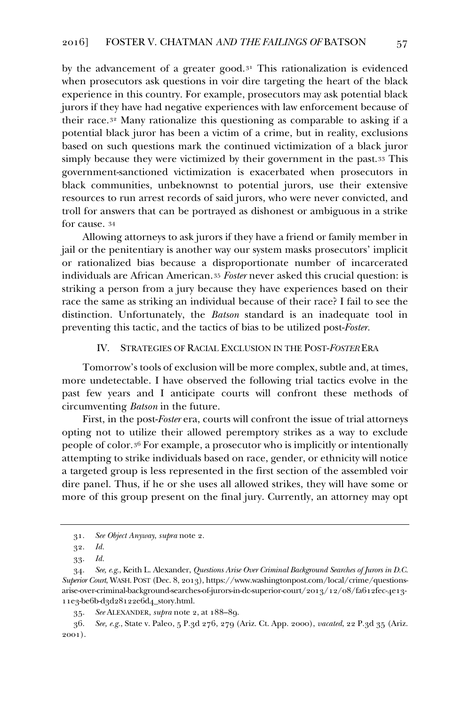by the advancement of a greater good. $3<sup>1</sup>$  This rationalization is evidenced when prosecutors ask questions in voir dire targeting the heart of the black experience in this country. For example, prosecutors may ask potential black jurors if they have had negative experiences with law enforcement because of their race.32 Many rationalize this questioning as comparable to asking if a potential black juror has been a victim of a crime, but in reality, exclusions based on such questions mark the continued victimization of a black juror simply because they were victimized by their government in the past.33 This government-sanctioned victimization is exacerbated when prosecutors in black communities, unbeknownst to potential jurors, use their extensive resources to run arrest records of said jurors, who were never convicted, and troll for answers that can be portrayed as dishonest or ambiguous in a strike for cause. 34

Allowing attorneys to ask jurors if they have a friend or family member in jail or the penitentiary is another way our system masks prosecutors' implicit or rationalized bias because a disproportionate number of incarcerated individuals are African American.35 *Foster* never asked this crucial question: is striking a person from a jury because they have experiences based on their race the same as striking an individual because of their race? I fail to see the distinction. Unfortunately, the *Batson* standard is an inadequate tool in preventing this tactic, and the tactics of bias to be utilized post-*Foster.*

#### IV. STRATEGIES OF RACIAL EXCLUSION IN THE POST-*FOSTER* ERA

Tomorrow's tools of exclusion will be more complex, subtle and, at times, more undetectable. I have observed the following trial tactics evolve in the past few years and I anticipate courts will confront these methods of circumventing *Batson* in the future.

First, in the post-*Foster* era, courts will confront the issue of trial attorneys opting not to utilize their allowed peremptory strikes as a way to exclude people of color.36 For example, a prosecutor who is implicitly or intentionally attempting to strike individuals based on race, gender, or ethnicity will notice a targeted group is less represented in the first section of the assembled voir dire panel. Thus, if he or she uses all allowed strikes, they will have some or more of this group present on the final jury. Currently, an attorney may opt

<sup>31.</sup> *See Object Anyway*, *supra* note 2.

<sup>32.</sup> *Id.*

<sup>33.</sup> *Id.*

<sup>34.</sup> *See, e.g.*, Keith L. Alexander, *Questions Arise Over Criminal Background Searches of Jurors in D.C. Superior Court*, WASH. POST (Dec. 8, 2013), https://www.washingtonpost.com/local/crime/questionsarise-over-criminal-background-searches-of-jurors-in-dc-superior-court/2013/12/08/fa612fec-4e13- 11e3-be6b-d3d28122e6d4\_story.html.

<sup>35.</sup> *See* ALEXANDER, *supra* note 2, at 188–89.

<sup>36.</sup> *See, e.g.*, State v. Paleo, 5 P.3d 276, 279 (Ariz. Ct. App. 2000), *vacated*, 22 P.3d 35 (Ariz. 2001).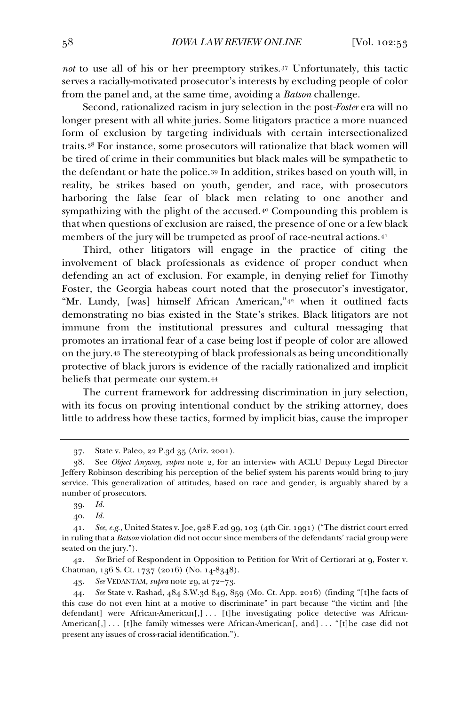*not* to use all of his or her preemptory strikes.37 Unfortunately, this tactic serves a racially-motivated prosecutor's interests by excluding people of color from the panel and, at the same time, avoiding a *Batson* challenge.

Second, rationalized racism in jury selection in the post*-Foster* era will no longer present with all white juries. Some litigators practice a more nuanced form of exclusion by targeting individuals with certain intersectionalized traits.38 For instance, some prosecutors will rationalize that black women will be tired of crime in their communities but black males will be sympathetic to the defendant or hate the police.39 In addition, strikes based on youth will, in reality, be strikes based on youth, gender, and race, with prosecutors harboring the false fear of black men relating to one another and sympathizing with the plight of the accused.40 Compounding this problem is that when questions of exclusion are raised, the presence of one or a few black members of the jury will be trumpeted as proof of race-neutral actions.41

Third, other litigators will engage in the practice of citing the involvement of black professionals as evidence of proper conduct when defending an act of exclusion. For example, in denying relief for Timothy Foster, the Georgia habeas court noted that the prosecutor's investigator, "Mr. Lundy, [was] himself African American,"42 when it outlined facts demonstrating no bias existed in the State's strikes. Black litigators are not immune from the institutional pressures and cultural messaging that promotes an irrational fear of a case being lost if people of color are allowed on the jury.43 The stereotyping of black professionals as being unconditionally protective of black jurors is evidence of the racially rationalized and implicit beliefs that permeate our system.44

The current framework for addressing discrimination in jury selection, with its focus on proving intentional conduct by the striking attorney, does little to address how these tactics, formed by implicit bias, cause the improper

42*. See* Brief of Respondent in Opposition to Petition for Writ of Certiorari at 9, Foster v. Chatman, 136 S. Ct. 1737 (2016) (No. 14-8348).

43. *See* VEDANTAM, *supra* note 29, at 72–73.

<sup>37.</sup> State v. Paleo, 22 P.3d 35 (Ariz. 2001).

<sup>38.</sup> See *Object Anyway*, *supra* note 2, for an interview with ACLU Deputy Legal Director Jeffery Robinson describing his perception of the belief system his parents would bring to jury service. This generalization of attitudes, based on race and gender, is arguably shared by a number of prosecutors.

<sup>39.</sup> *Id.*

<sup>40.</sup> *Id.*

<sup>41.</sup> *See, e.g.*, United States v. Joe, 928 F.2d 99, 103 (4th Cir. 1991) ("The district court erred in ruling that a *Batson* violation did not occur since members of the defendants' racial group were seated on the jury.").

<sup>44.</sup> *See* State v. Rashad, 484 S.W.3d 849, 859 (Mo. Ct. App. 2016) (finding "[t]he facts of this case do not even hint at a motive to discriminate" in part because "the victim and [the defendant] were African-American[,] ... [t]he investigating police detective was African-American[,] ... [t]he family witnesses were African-American[, and] ... "[t]he case did not present any issues of cross-racial identification.").